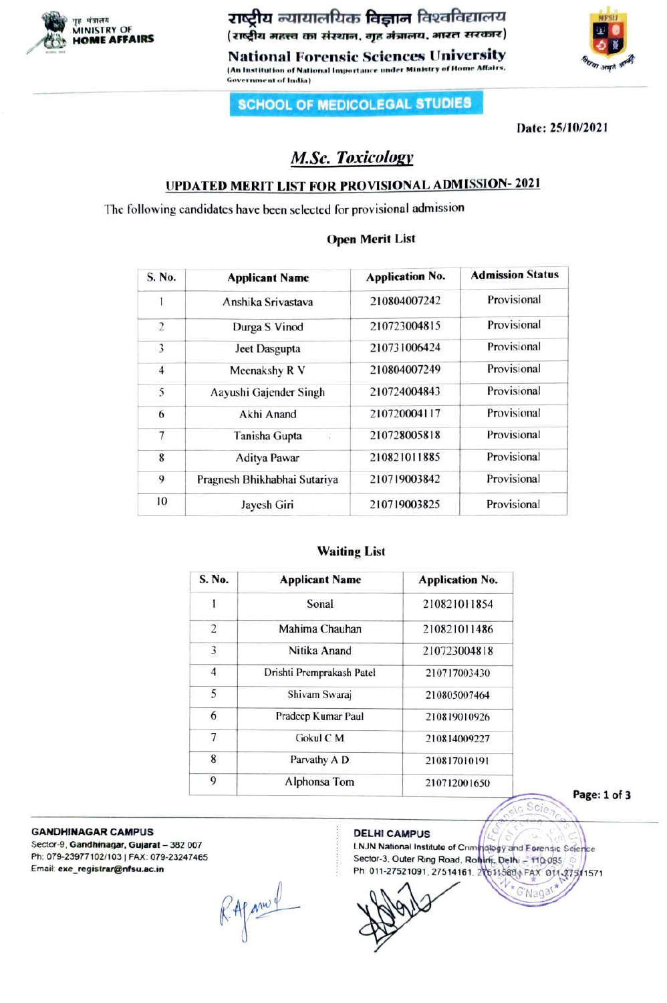

ZTta aTITfUas fa\_na faeafaenera NFSU MINISTRY OF

National Forensic Sciences University (An Institution of National Importance under Ministry of Home Affairs, Government of India)



# SCHOOL OF MEDICOLEGAL STUDIES

Date: 25/10/2021

# M.Sc. Toxicology

# UPDATED MERIT LIST FOR PROVISIONAL ADMISSION- 2021

The following candidates have been selected for provisional admission

# Open Merit List

| S. No.         | <b>Applicant Name</b>        | <b>Application No.</b> | <b>Admission Status</b> |
|----------------|------------------------------|------------------------|-------------------------|
|                | Anshika Srivastava           | 210804007242           | Provisional             |
| $\overline{2}$ | Durga S Vinod                | 210723004815           | Provisional             |
| 3              | Jeet Dasgupta                | 210731006424           | Provisional             |
| $\overline{4}$ | Meenakshy R V                | 210804007249           | Provisional             |
| 5              | Aayushi Gajender Singh       | 210724004843           | Provisional             |
| 6              | Akhi Anand                   | 210720004117           | Provisional             |
| 7              | Tanisha Gupta<br>i,          | 210728005818           | Provisional             |
| 8              | <b>Aditya Pawar</b>          | 210821011885           | Provisional             |
| 9              | Pragnesh Bhikhabhai Sutariya | 210719003842           | Provisional             |
| 10             | Jayesh Giri                  | 210719003825           | Provisional             |

# Waiting List

| S. No.         | <b>Applicant Name</b>     | <b>Application No.</b> |
|----------------|---------------------------|------------------------|
| 1              | Sonal                     | 210821011854           |
| 2              | Mahima Chauhan            | 210821011486           |
| 3              | Nitika Anand              | 210723004818           |
| $\overline{4}$ | Drishti Premprakash Patel | 210717003430           |
| 5              | Shivam Swaraj             | 210805007464           |
| 6              | Pradeep Kumar Paul        | 210819010926           |
| $\overline{7}$ | Gokul C M                 | 210814009227           |
| 8              | Parvathy A D              | 210817010191           |
| 9              | Alphonsa Tom              | 210712001650           |

Page: 1 of 3

GANDHINAGAR CAMPUS DELHI CAMPUS

Sector-9, Gandhinagar, Gujarat - 382 007 Ph: 079-23977102/103 | FAX: 079-23247465 Emait: exe\_registrar@nfsu.ac.in

R. Afam &

LNJN National Institute of Criminology and Forensic Science<br>Sector-3, Outer Ring Road, Romrit, Delhi – 110.085 Ph. 011-27521091, 27514161, 216119809 FAX 011-275/1571

C'Nagar

Scie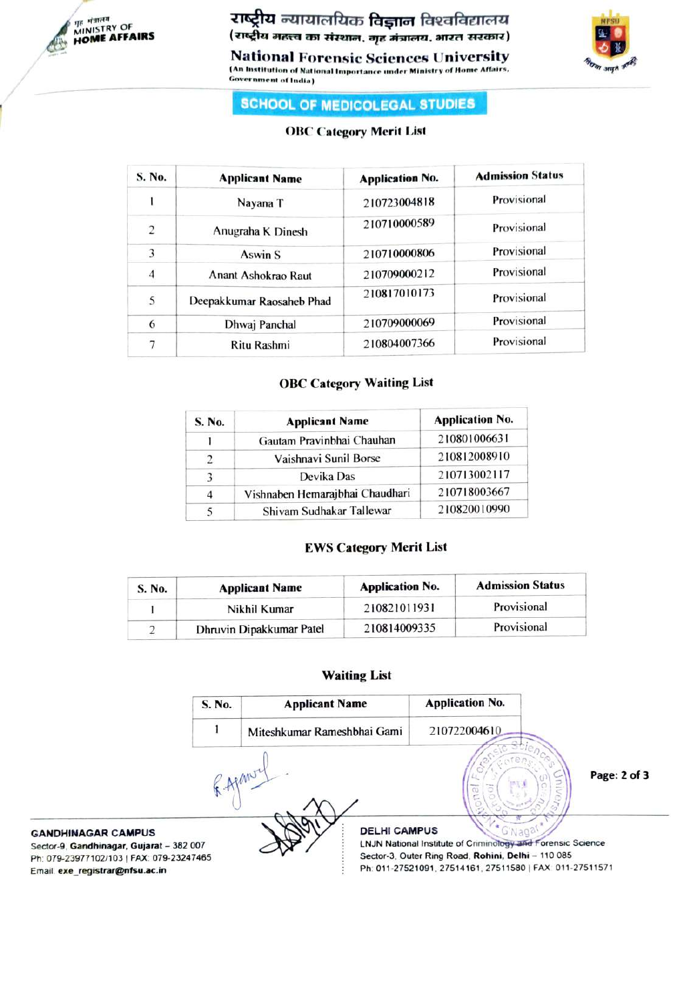

TESToY OF rATafras fA\_Ta farafrenoa MINISTRY OF HOME AFFAIRS

National Forensic Sciences University An Institution of National Importance under Ministry of Home Affairs. Government of lndia)



# SCHOOL OF MEDICOLEGAL STUDIES

# OBC Category Merit List

| S. No.         | <b>Applicant Name</b>     | <b>Application No.</b> | <b>Admission Status</b> |
|----------------|---------------------------|------------------------|-------------------------|
| ı              | Nayana T                  | 210723004818           | Provisional             |
| $\overline{2}$ | Anugraha K Dinesh         | 210710000589           | Provisional             |
| 3              | <b>Aswin S</b>            | 210710000806           | Provisional             |
| $\overline{4}$ | Anant Ashokrao Raut       | 210709000212           | Provisional             |
| 5              | Deepakkumar Raosaheb Phad | 210817010173           | Provisional             |
| 6              | Dhwaj Panchal             | 210709000069           | Provisional             |
| 7              | Ritu Rashmi               | 210804007366           | Provisional             |

### OBC Category Waiting List

| S. No.        | <b>Applicant Name</b>           | <b>Application No.</b> |
|---------------|---------------------------------|------------------------|
|               | Gautam Pravinbhai Chauhan       | 210801006631           |
| $\mathcal{L}$ | Vaishnavi Sunil Borse           | 210812008910           |
| $\mathcal{L}$ | Devika Das                      | 210713002117           |
| 4             | Vishnaben Hemarajbhai Chaudhari | 210718003667           |
|               | Shivam Sudhakar Tallewar        | 210820010990           |

# EWS Category Merit List

| S. No. | <b>Applicant Name</b>    | <b>Application No.</b> | <b>Admission Status</b> |
|--------|--------------------------|------------------------|-------------------------|
|        | Nikhil Kumar             | 210821011931           | Provisional             |
|        | Dhruvin Dipakkumar Patel | 210814009335           | Provisional             |

### Waiting List

|                                                                                                                                                     | S. No. | <b>Applicant Name</b>       | <b>Application No.</b>                                                                                                                                                       |              |
|-----------------------------------------------------------------------------------------------------------------------------------------------------|--------|-----------------------------|------------------------------------------------------------------------------------------------------------------------------------------------------------------------------|--------------|
|                                                                                                                                                     |        | Miteshkumar Rameshbhai Gami | 210722004610                                                                                                                                                                 |              |
|                                                                                                                                                     | APANT. |                             |                                                                                                                                                                              | Page: 2 of 3 |
| <b>GANDHINAGAR CAMPUS</b><br>Sector-9, Gandhinagar, Gujarat - 382 007<br>Ph: 079-23977102/103   FAX: 079-23247465<br>Email exe registrar@nfsu.ac.in |        | <b>DELHI CAMPUS</b>         | LNJN National Institute of Criminology and Forensic Science<br>Sector-3, Outer Ring Road, Rohini, Delhi - 110 085<br>Ph: 011-27521091, 27514161, 27511580   FAX 011-27511571 |              |